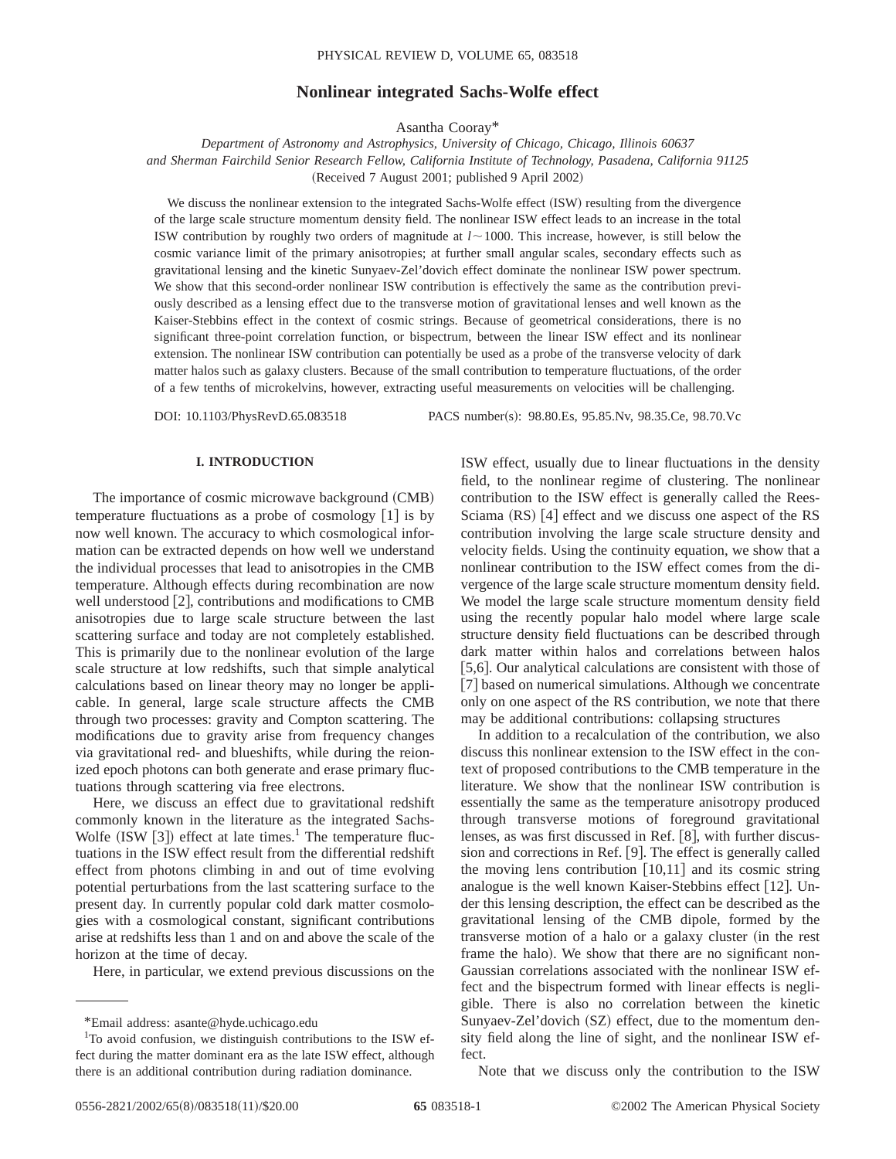# **Nonlinear integrated Sachs-Wolfe effect**

Asantha Cooray\*

*Department of Astronomy and Astrophysics, University of Chicago, Chicago, Illinois 60637 and Sherman Fairchild Senior Research Fellow, California Institute of Technology, Pasadena, California 91125* (Received 7 August 2001; published 9 April 2002)

We discuss the nonlinear extension to the integrated Sachs-Wolfe effect (ISW) resulting from the divergence of the large scale structure momentum density field. The nonlinear ISW effect leads to an increase in the total ISW contribution by roughly two orders of magnitude at  $l \sim 1000$ . This increase, however, is still below the cosmic variance limit of the primary anisotropies; at further small angular scales, secondary effects such as gravitational lensing and the kinetic Sunyaev-Zel'dovich effect dominate the nonlinear ISW power spectrum. We show that this second-order nonlinear ISW contribution is effectively the same as the contribution previously described as a lensing effect due to the transverse motion of gravitational lenses and well known as the Kaiser-Stebbins effect in the context of cosmic strings. Because of geometrical considerations, there is no significant three-point correlation function, or bispectrum, between the linear ISW effect and its nonlinear extension. The nonlinear ISW contribution can potentially be used as a probe of the transverse velocity of dark matter halos such as galaxy clusters. Because of the small contribution to temperature fluctuations, of the order of a few tenths of microkelvins, however, extracting useful measurements on velocities will be challenging.

DOI: 10.1103/PhysRevD.65.083518 PACS number(s): 98.80.Es, 95.85.Nv, 98.35.Ce, 98.70.Vc

## **I. INTRODUCTION**

The importance of cosmic microwave background (CMB) temperature fluctuations as a probe of cosmology  $[1]$  is by now well known. The accuracy to which cosmological information can be extracted depends on how well we understand the individual processes that lead to anisotropies in the CMB temperature. Although effects during recombination are now well understood  $[2]$ , contributions and modifications to CMB anisotropies due to large scale structure between the last scattering surface and today are not completely established. This is primarily due to the nonlinear evolution of the large scale structure at low redshifts, such that simple analytical calculations based on linear theory may no longer be applicable. In general, large scale structure affects the CMB through two processes: gravity and Compton scattering. The modifications due to gravity arise from frequency changes via gravitational red- and blueshifts, while during the reionized epoch photons can both generate and erase primary fluctuations through scattering via free electrons.

Here, we discuss an effect due to gravitational redshift commonly known in the literature as the integrated Sachs-Wolfe  $(ISW [3])$  effect at late times.<sup>1</sup> The temperature fluctuations in the ISW effect result from the differential redshift effect from photons climbing in and out of time evolving potential perturbations from the last scattering surface to the present day. In currently popular cold dark matter cosmologies with a cosmological constant, significant contributions arise at redshifts less than 1 and on and above the scale of the horizon at the time of decay.

Here, in particular, we extend previous discussions on the

ISW effect, usually due to linear fluctuations in the density field, to the nonlinear regime of clustering. The nonlinear contribution to the ISW effect is generally called the Rees-Sciama  $(RS)$  [4] effect and we discuss one aspect of the RS contribution involving the large scale structure density and velocity fields. Using the continuity equation, we show that a nonlinear contribution to the ISW effect comes from the divergence of the large scale structure momentum density field. We model the large scale structure momentum density field using the recently popular halo model where large scale structure density field fluctuations can be described through dark matter within halos and correlations between halos [5,6]. Our analytical calculations are consistent with those of [7] based on numerical simulations. Although we concentrate only on one aspect of the RS contribution, we note that there may be additional contributions: collapsing structures

In addition to a recalculation of the contribution, we also discuss this nonlinear extension to the ISW effect in the context of proposed contributions to the CMB temperature in the literature. We show that the nonlinear ISW contribution is essentially the same as the temperature anisotropy produced through transverse motions of foreground gravitational lenses, as was first discussed in Ref.  $[8]$ , with further discussion and corrections in Ref.  $[9]$ . The effect is generally called the moving lens contribution  $[10,11]$  and its cosmic string analogue is the well known Kaiser-Stebbins effect  $[12]$ . Under this lensing description, the effect can be described as the gravitational lensing of the CMB dipole, formed by the transverse motion of a halo or a galaxy cluster (in the rest frame the halo). We show that there are no significant non-Gaussian correlations associated with the nonlinear ISW effect and the bispectrum formed with linear effects is negligible. There is also no correlation between the kinetic Sunyaev-Zel'dovich (SZ) effect, due to the momentum density field along the line of sight, and the nonlinear ISW effect.

Note that we discuss only the contribution to the ISW

<sup>\*</sup>Email address: asante@hyde.uchicago.edu

<sup>&</sup>lt;sup>1</sup>To avoid confusion, we distinguish contributions to the ISW effect during the matter dominant era as the late ISW effect, although there is an additional contribution during radiation dominance.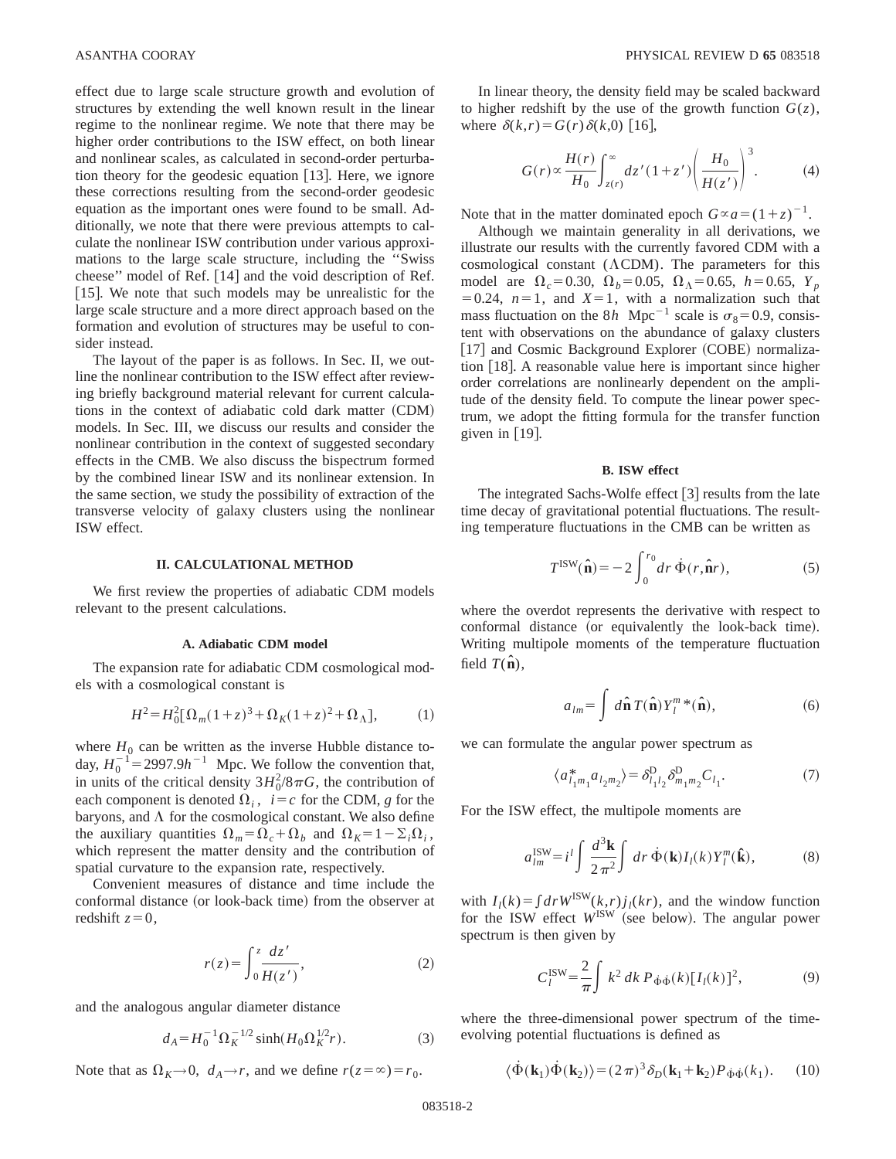effect due to large scale structure growth and evolution of structures by extending the well known result in the linear regime to the nonlinear regime. We note that there may be higher order contributions to the ISW effect, on both linear and nonlinear scales, as calculated in second-order perturbation theory for the geodesic equation  $[13]$ . Here, we ignore these corrections resulting from the second-order geodesic equation as the important ones were found to be small. Additionally, we note that there were previous attempts to calculate the nonlinear ISW contribution under various approximations to the large scale structure, including the ''Swiss cheese'' model of Ref.  $[14]$  and the void description of Ref. [15]. We note that such models may be unrealistic for the large scale structure and a more direct approach based on the formation and evolution of structures may be useful to consider instead.

The layout of the paper is as follows. In Sec. II, we outline the nonlinear contribution to the ISW effect after reviewing briefly background material relevant for current calculations in the context of adiabatic cold dark matter (CDM) models. In Sec. III, we discuss our results and consider the nonlinear contribution in the context of suggested secondary effects in the CMB. We also discuss the bispectrum formed by the combined linear ISW and its nonlinear extension. In the same section, we study the possibility of extraction of the transverse velocity of galaxy clusters using the nonlinear ISW effect.

### **II. CALCULATIONAL METHOD**

We first review the properties of adiabatic CDM models relevant to the present calculations.

#### **A. Adiabatic CDM model**

The expansion rate for adiabatic CDM cosmological models with a cosmological constant is

$$
H^{2} = H_{0}^{2}[\Omega_{m}(1+z)^{3} + \Omega_{K}(1+z)^{2} + \Omega_{\Lambda}], \tag{1}
$$

where  $H_0$  can be written as the inverse Hubble distance today,  $H_0^{-1} = 2997.9h^{-1}$  Mpc. We follow the convention that, in units of the critical density  $3H_0^2/8\pi G$ , the contribution of each component is denoted  $\Omega_i$ ,  $i = c$  for the CDM, *g* for the baryons, and  $\Lambda$  for the cosmological constant. We also define the auxiliary quantities  $\Omega_m = \Omega_c + \Omega_b$  and  $\Omega_K = 1 - \Sigma_i \Omega_i$ , which represent the matter density and the contribution of spatial curvature to the expansion rate, respectively.

Convenient measures of distance and time include the conformal distance (or look-back time) from the observer at redshift  $z=0$ ,

$$
r(z) = \int_0^z \frac{dz'}{H(z')},\tag{2}
$$

and the analogous angular diameter distance

$$
d_A = H_0^{-1} \Omega_K^{-1/2} \sinh(H_0 \Omega_K^{1/2} r).
$$
 (3)

Note that as  $\Omega_K \to 0$ ,  $d_A \to r$ , and we define  $r(z = \infty) = r_0$ .

In linear theory, the density field may be scaled backward to higher redshift by the use of the growth function  $G(z)$ , where  $\delta(k,r) = G(r) \delta(k,0)$  [16],

$$
G(r) \propto \frac{H(r)}{H_0} \int_{z(r)}^{\infty} dz'(1+z') \left(\frac{H_0}{H(z')}\right)^3.
$$
 (4)

Note that in the matter dominated epoch  $G \propto a = (1+z)^{-1}$ .

Although we maintain generality in all derivations, we illustrate our results with the currently favored CDM with a cosmological constant ( $\Lambda$ CDM). The parameters for this model are  $\Omega_c = 0.30$ ,  $\Omega_b = 0.05$ ,  $\Omega_{\Lambda} = 0.65$ ,  $h = 0.65$ ,  $Y_p$  $=0.24$ ,  $n=1$ , and  $X=1$ , with a normalization such that mass fluctuation on the 8*h* Mpc<sup>-1</sup> scale is  $\sigma_8 = 0.9$ , consistent with observations on the abundance of galaxy clusters [17] and Cosmic Background Explorer (COBE) normalization  $[18]$ . A reasonable value here is important since higher order correlations are nonlinearly dependent on the amplitude of the density field. To compute the linear power spectrum, we adopt the fitting formula for the transfer function given in  $[19]$ .

#### **B. ISW effect**

The integrated Sachs-Wolfe effect  $\lceil 3 \rceil$  results from the late time decay of gravitational potential fluctuations. The resulting temperature fluctuations in the CMB can be written as

$$
T^{\text{ISW}}(\hat{\mathbf{n}}) = -2 \int_0^{r_0} dr \, \dot{\Phi}(r, \hat{\mathbf{n}}r), \tag{5}
$$

where the overdot represents the derivative with respect to conformal distance (or equivalently the look-back time). Writing multipole moments of the temperature fluctuation field  $T(\hat{\bf{n}})$ ,

$$
a_{lm} = \int d\hat{\mathbf{n}} T(\hat{\mathbf{n}}) Y_l^m * (\hat{\mathbf{n}}), \qquad (6)
$$

we can formulate the angular power spectrum as

$$
\langle a_{l_1m_1}^* a_{l_2m_2} \rangle = \delta_{l_1l_2}^{\mathcal{D}} \delta_{m_1m_2}^{\mathcal{D}} C_{l_1}.
$$
 (7)

For the ISW effect, the multipole moments are

$$
a_{lm}^{\text{ISW}} = i^l \int \frac{d^3 \mathbf{k}}{2 \pi^2} \int dr \, \dot{\Phi}(\mathbf{k}) I_l(k) Y_l^m(\hat{\mathbf{k}}), \tag{8}
$$

with  $I_l(k) = \int dr W^{\text{ISW}}(k, r) j_l(kr)$ , and the window function for the ISW effect  $W^{\text{ISW}}$  (see below). The angular power spectrum is then given by

$$
C_l^{\text{ISW}} = \frac{2}{\pi} \int k^2 \, dk \, P_{\Phi\Phi}(k) [I_l(k)]^2, \tag{9}
$$

where the three-dimensional power spectrum of the timeevolving potential fluctuations is defined as

$$
\langle \dot{\Phi}(\mathbf{k}_1)\dot{\Phi}(\mathbf{k}_2)\rangle = (2\,\pi)^3 \,\delta_D(\mathbf{k}_1 + \mathbf{k}_2) P_{\Phi\Phi}(k_1). \tag{10}
$$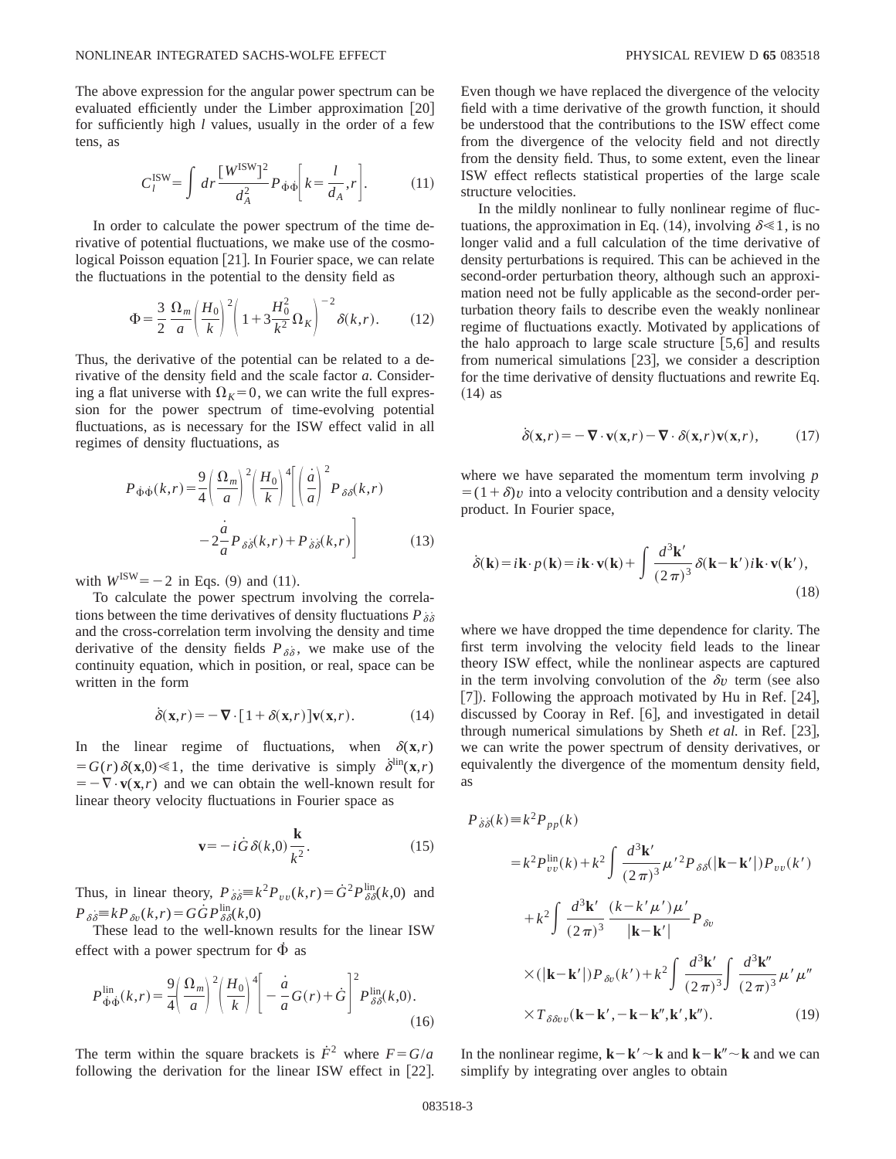The above expression for the angular power spectrum can be evaluated efficiently under the Limber approximation  $[20]$ for sufficiently high *l* values, usually in the order of a few tens, as

$$
C_l^{\text{ISW}} = \int dr \frac{[W^{\text{ISW}}]^2}{d_A^2} P_{\Phi \Phi} \bigg[ k = \frac{l}{d_A}, r \bigg]. \tag{11}
$$

In order to calculate the power spectrum of the time derivative of potential fluctuations, we make use of the cosmological Poisson equation [21]. In Fourier space, we can relate the fluctuations in the potential to the density field as

$$
\Phi = \frac{3}{2} \frac{\Omega_m}{a} \left( \frac{H_0}{k} \right)^2 \left( 1 + 3 \frac{H_0^2}{k^2} \Omega_k \right)^{-2} \delta(k, r). \tag{12}
$$

Thus, the derivative of the potential can be related to a derivative of the density field and the scale factor *a*. Considering a flat universe with  $\Omega_K = 0$ , we can write the full expression for the power spectrum of time-evolving potential fluctuations, as is necessary for the ISW effect valid in all regimes of density fluctuations, as

$$
P_{\Phi\Phi}(k,r) = \frac{9}{4} \left(\frac{\Omega_m}{a}\right)^2 \left(\frac{H_0}{k}\right)^4 \left[\left(\frac{\dot{a}}{a}\right)^2 P_{\delta\delta}(k,r) - 2\frac{\dot{a}}{a} P_{\delta\delta}(k,r) + P_{\delta\delta}(k,r)\right]
$$
(13)

with  $W^{ISW} = -2$  in Eqs. (9) and (11).

To calculate the power spectrum involving the correlations between the time derivatives of density fluctuations  $P_{\dot{\delta}\dot{\delta}}$ and the cross-correlation term involving the density and time derivative of the density fields  $P_{\delta\delta}$ , we make use of the continuity equation, which in position, or real, space can be written in the form

$$
\dot{\delta}(\mathbf{x},r) = -\nabla \cdot [1 + \delta(\mathbf{x},r)]\mathbf{v}(\mathbf{x},r). \tag{14}
$$

In the linear regime of fluctuations, when  $\delta(\mathbf{x}, r)$  $= G(r) \delta(\mathbf{x},0) \leq 1$ , the time derivative is simply  $\delta^{\text{lin}}(\mathbf{x},r)$  $= -\nabla \cdot v(\mathbf{x}, r)$  and we can obtain the well-known result for linear theory velocity fluctuations in Fourier space as

$$
\mathbf{v} = -i\dot{G}\,\delta(k,0)\frac{\mathbf{k}}{k^2}.\tag{15}
$$

Thus, in linear theory,  $P_{\delta\delta} = k^2 P_{vv}(k,r) = \dot{G}^2 P_{\delta\delta}^{\text{lin}}(k,0)$  and  $P_{\delta\delta} \equiv k P_{\delta v}(k,r) = G\dot{G}P_{\delta\delta}^{\text{lin}}(k,0)$ 

These lead to the well-known results for the linear ISW effect with a power spectrum for  $\dot{\Phi}$  as

$$
P_{\Phi\Phi}^{\text{lin}}(k,r) = \frac{9}{4} \left(\frac{\Omega_m}{a}\right)^2 \left(\frac{H_0}{k}\right)^4 \left[-\frac{\dot{a}}{a}G(r) + \dot{G}\right]^2 P_{\delta\delta}^{\text{lin}}(k,0). \tag{16}
$$

The term within the square brackets is  $\dot{F}^2$  where  $F = G/a$ following the derivation for the linear ISW effect in  $[22]$ . Even though we have replaced the divergence of the velocity field with a time derivative of the growth function, it should be understood that the contributions to the ISW effect come from the divergence of the velocity field and not directly from the density field. Thus, to some extent, even the linear ISW effect reflects statistical properties of the large scale structure velocities.

In the mildly nonlinear to fully nonlinear regime of fluctuations, the approximation in Eq. (14), involving  $\delta \le 1$ , is no longer valid and a full calculation of the time derivative of density perturbations is required. This can be achieved in the second-order perturbation theory, although such an approximation need not be fully applicable as the second-order perturbation theory fails to describe even the weakly nonlinear regime of fluctuations exactly. Motivated by applications of the halo approach to large scale structure  $[5,6]$  and results from numerical simulations  $[23]$ , we consider a description for the time derivative of density fluctuations and rewrite Eq.  $(14)$  as

$$
\dot{\delta}(\mathbf{x},r) = -\nabla \cdot \mathbf{v}(\mathbf{x},r) - \nabla \cdot \delta(\mathbf{x},r)\mathbf{v}(\mathbf{x},r),\tag{17}
$$

where we have separated the momentum term involving *p*  $=$ (1+ $\delta$ )*v* into a velocity contribution and a density velocity product. In Fourier space,

$$
\delta(\mathbf{k}) = i\mathbf{k} \cdot p(\mathbf{k}) = i\mathbf{k} \cdot \mathbf{v}(\mathbf{k}) + \int \frac{d^3 \mathbf{k}'}{(2\pi)^3} \delta(\mathbf{k} - \mathbf{k}') i\mathbf{k} \cdot \mathbf{v}(\mathbf{k}'),
$$
\n(18)

where we have dropped the time dependence for clarity. The first term involving the velocity field leads to the linear theory ISW effect, while the nonlinear aspects are captured in the term involving convolution of the  $\delta v$  term (see also  $[7]$ ). Following the approach motivated by Hu in Ref.  $[24]$ , discussed by Cooray in Ref.  $[6]$ , and investigated in detail through numerical simulations by Sheth et al. in Ref. [23], we can write the power spectrum of density derivatives, or equivalently the divergence of the momentum density field, as

$$
P_{\delta\delta}(k) = k^2 P_{pp}(k)
$$
  
\n
$$
= k^2 P_{vv}^{\text{lin}}(k) + k^2 \int \frac{d^3 \mathbf{k}'}{(2\pi)^3} \mu'^2 P_{\delta\delta}(|\mathbf{k} - \mathbf{k}'|) P_{vv}(k')
$$
  
\n
$$
+ k^2 \int \frac{d^3 \mathbf{k}'}{(2\pi)^3} \frac{(k - k'\mu')\mu'}{|\mathbf{k} - \mathbf{k}'|} P_{\delta v}
$$
  
\n
$$
\times (|\mathbf{k} - \mathbf{k}'|) P_{\delta v}(k') + k^2 \int \frac{d^3 \mathbf{k}'}{(2\pi)^3} \int \frac{d^3 \mathbf{k}''}{(2\pi)^3} \mu' \mu''
$$
  
\n
$$
\times T_{\delta\delta vv}(\mathbf{k} - \mathbf{k}', -\mathbf{k} - \mathbf{k}'', \mathbf{k}'').
$$
 (19)

In the nonlinear regime,  $\mathbf{k}-\mathbf{k}' \sim \mathbf{k}$  and  $\mathbf{k}-\mathbf{k}'' \sim \mathbf{k}$  and we can simplify by integrating over angles to obtain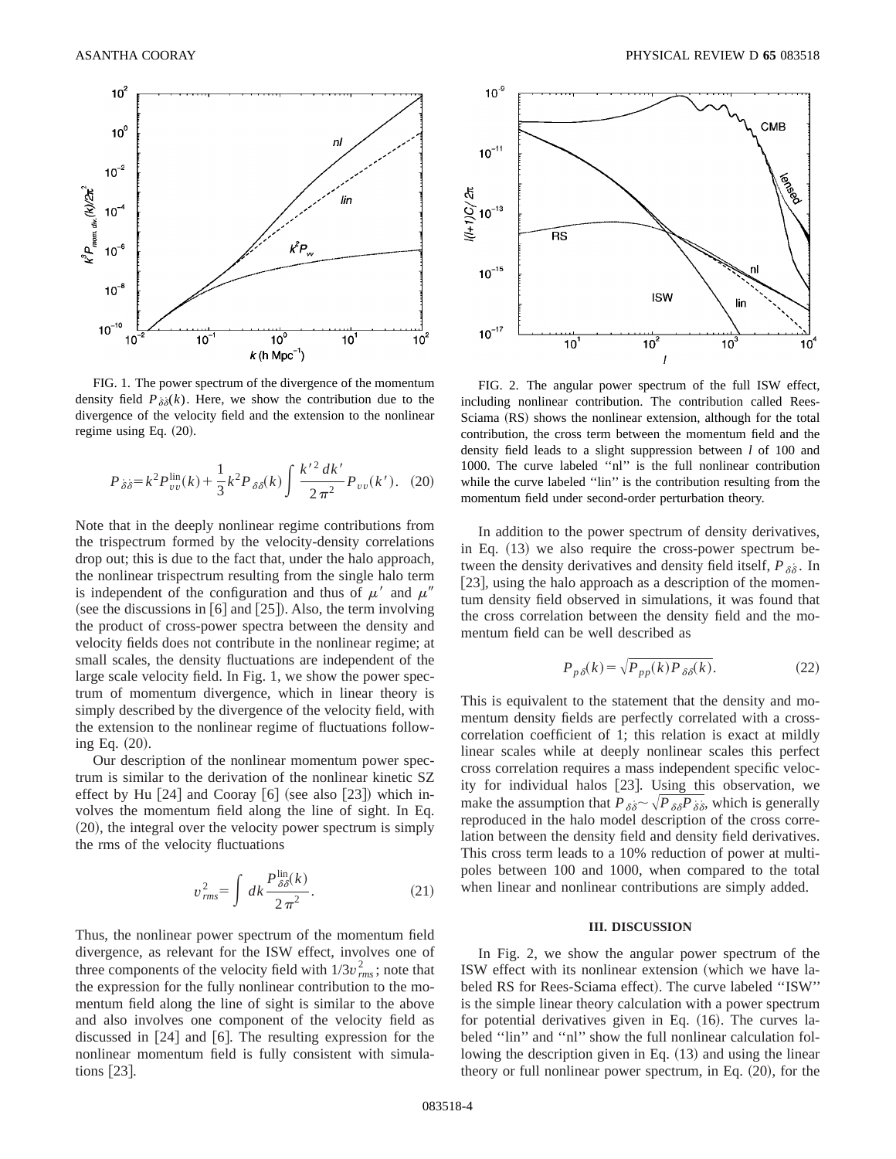

FIG. 1. The power spectrum of the divergence of the momentum density field  $P_{\delta\delta}(k)$ . Here, we show the contribution due to the divergence of the velocity field and the extension to the nonlinear regime using Eq.  $(20)$ .

$$
P_{\delta\delta} = k^2 P_{vv}^{\text{lin}}(k) + \frac{1}{3} k^2 P_{\delta\delta}(k) \int \frac{k'^2 \, dk'}{2 \, \pi^2} P_{vv}(k'). \tag{20}
$$

Note that in the deeply nonlinear regime contributions from the trispectrum formed by the velocity-density correlations drop out; this is due to the fact that, under the halo approach, the nonlinear trispectrum resulting from the single halo term is independent of the configuration and thus of  $\mu'$  and  $\mu''$ (see the discussions in  $\lceil 6 \rceil$  and  $\lceil 25 \rceil$ ). Also, the term involving the product of cross-power spectra between the density and velocity fields does not contribute in the nonlinear regime; at small scales, the density fluctuations are independent of the large scale velocity field. In Fig. 1, we show the power spectrum of momentum divergence, which in linear theory is simply described by the divergence of the velocity field, with the extension to the nonlinear regime of fluctuations following Eq.  $(20)$ .

Our description of the nonlinear momentum power spectrum is similar to the derivation of the nonlinear kinetic SZ effect by Hu  $[24]$  and Cooray  $[6]$  (see also  $[23]$ ) which involves the momentum field along the line of sight. In Eq.  $(20)$ , the integral over the velocity power spectrum is simply the rms of the velocity fluctuations

$$
v_{rms}^2 = \int dk \frac{P_{\delta\delta}^{\text{lin}}(k)}{2\pi^2}.
$$
 (21)

Thus, the nonlinear power spectrum of the momentum field divergence, as relevant for the ISW effect, involves one of three components of the velocity field with  $1/3v<sub>rms</sub><sup>2</sup>$ ; note that the expression for the fully nonlinear contribution to the momentum field along the line of sight is similar to the above and also involves one component of the velocity field as discussed in  $[24]$  and  $[6]$ . The resulting expression for the nonlinear momentum field is fully consistent with simulations  $[23]$ .



FIG. 2. The angular power spectrum of the full ISW effect, including nonlinear contribution. The contribution called Rees-Sciama (RS) shows the nonlinear extension, although for the total contribution, the cross term between the momentum field and the density field leads to a slight suppression between *l* of 100 and 1000. The curve labeled ''nl'' is the full nonlinear contribution while the curve labeled "lin" is the contribution resulting from the momentum field under second-order perturbation theory.

In addition to the power spectrum of density derivatives, in Eq.  $(13)$  we also require the cross-power spectrum between the density derivatives and density field itself,  $P_{\delta\delta}$ . In [23], using the halo approach as a description of the momentum density field observed in simulations, it was found that the cross correlation between the density field and the momentum field can be well described as

$$
P_{p\delta}(k) = \sqrt{P_{pp}(k)P_{\delta\delta}(k)}.
$$
 (22)

This is equivalent to the statement that the density and momentum density fields are perfectly correlated with a crosscorrelation coefficient of 1; this relation is exact at mildly linear scales while at deeply nonlinear scales this perfect cross correlation requires a mass independent specific velocity for individual halos [23]. Using this observation, we make the assumption that  $P_{\delta\delta} \sim \sqrt{P_{\delta\delta}P_{\delta\delta}}$ , which is generally reproduced in the halo model description of the cross correlation between the density field and density field derivatives. This cross term leads to a 10% reduction of power at multipoles between 100 and 1000, when compared to the total when linear and nonlinear contributions are simply added.

#### **III. DISCUSSION**

In Fig. 2, we show the angular power spectrum of the ISW effect with its nonlinear extension (which we have labeled RS for Rees-Sciama effect). The curve labeled "ISW" is the simple linear theory calculation with a power spectrum for potential derivatives given in Eq.  $(16)$ . The curves labeled ''lin'' and ''nl'' show the full nonlinear calculation following the description given in Eq.  $(13)$  and using the linear theory or full nonlinear power spectrum, in Eq.  $(20)$ , for the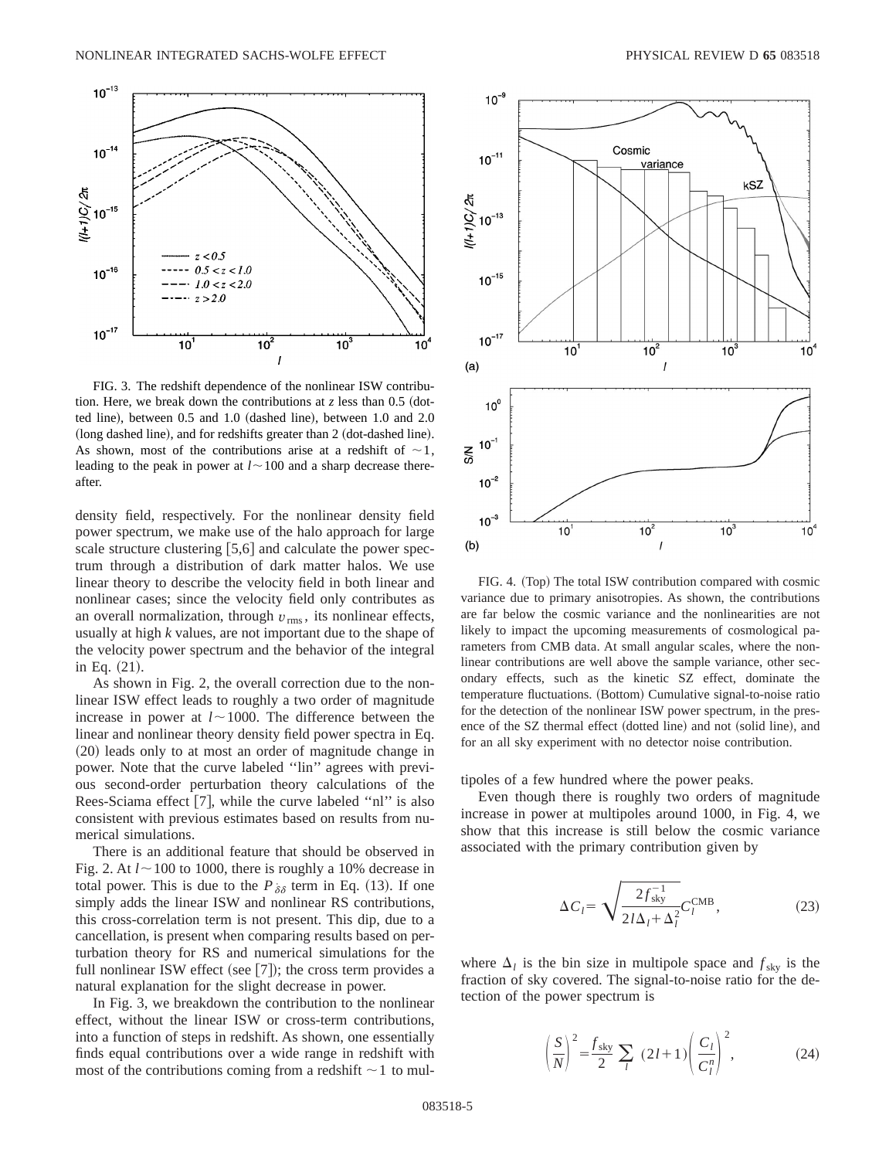

FIG. 3. The redshift dependence of the nonlinear ISW contribution. Here, we break down the contributions at  $\zeta$  less than 0.5 (dotted line), between  $0.5$  and  $1.0$  (dashed line), between  $1.0$  and  $2.0$ (long dashed line), and for redshifts greater than 2 (dot-dashed line). As shown, most of the contributions arise at a redshift of  $\sim$  1, leading to the peak in power at  $l \sim 100$  and a sharp decrease thereafter.

density field, respectively. For the nonlinear density field power spectrum, we make use of the halo approach for large scale structure clustering  $[5,6]$  and calculate the power spectrum through a distribution of dark matter halos. We use linear theory to describe the velocity field in both linear and nonlinear cases; since the velocity field only contributes as an overall normalization, through  $v_{\rm rms}$ , its nonlinear effects, usually at high *k* values, are not important due to the shape of the velocity power spectrum and the behavior of the integral in Eq.  $(21)$ .

As shown in Fig. 2, the overall correction due to the nonlinear ISW effect leads to roughly a two order of magnitude increase in power at  $l \sim 1000$ . The difference between the linear and nonlinear theory density field power spectra in Eq.  $(20)$  leads only to at most an order of magnitude change in power. Note that the curve labeled ''lin'' agrees with previous second-order perturbation theory calculations of the Rees-Sciama effect  $[7]$ , while the curve labeled "nl" is also consistent with previous estimates based on results from numerical simulations.

There is an additional feature that should be observed in Fig. 2. At  $l \sim 100$  to 1000, there is roughly a 10% decrease in total power. This is due to the  $P_{\delta\delta}$  term in Eq. (13). If one simply adds the linear ISW and nonlinear RS contributions, this cross-correlation term is not present. This dip, due to a cancellation, is present when comparing results based on perturbation theory for RS and numerical simulations for the full nonlinear ISW effect (see  $[7]$ ); the cross term provides a natural explanation for the slight decrease in power.

In Fig. 3, we breakdown the contribution to the nonlinear effect, without the linear ISW or cross-term contributions, into a function of steps in redshift. As shown, one essentially finds equal contributions over a wide range in redshift with most of the contributions coming from a redshift  $\sim$  1 to mul-



FIG. 4. (Top) The total ISW contribution compared with cosmic variance due to primary anisotropies. As shown, the contributions are far below the cosmic variance and the nonlinearities are not likely to impact the upcoming measurements of cosmological parameters from CMB data. At small angular scales, where the nonlinear contributions are well above the sample variance, other secondary effects, such as the kinetic SZ effect, dominate the temperature fluctuations. (Bottom) Cumulative signal-to-noise ratio for the detection of the nonlinear ISW power spectrum, in the presence of the SZ thermal effect (dotted line) and not (solid line), and for an all sky experiment with no detector noise contribution.

tipoles of a few hundred where the power peaks.

Even though there is roughly two orders of magnitude increase in power at multipoles around 1000, in Fig. 4, we show that this increase is still below the cosmic variance associated with the primary contribution given by

$$
\Delta C_l = \sqrt{\frac{2f_{\rm sky}^{-1}}{2l\Delta_l + \Delta_l^2}} C_l^{\rm CMB}, \qquad (23)
$$

where  $\Delta_l$  is the bin size in multipole space and  $f_{\rm sky}$  is the fraction of sky covered. The signal-to-noise ratio for the detection of the power spectrum is

$$
\left(\frac{S}{N}\right)^2 = \frac{f_{\text{sky}}}{2} \sum_l (2l+1) \left(\frac{C_l}{C_l^n}\right)^2,\tag{24}
$$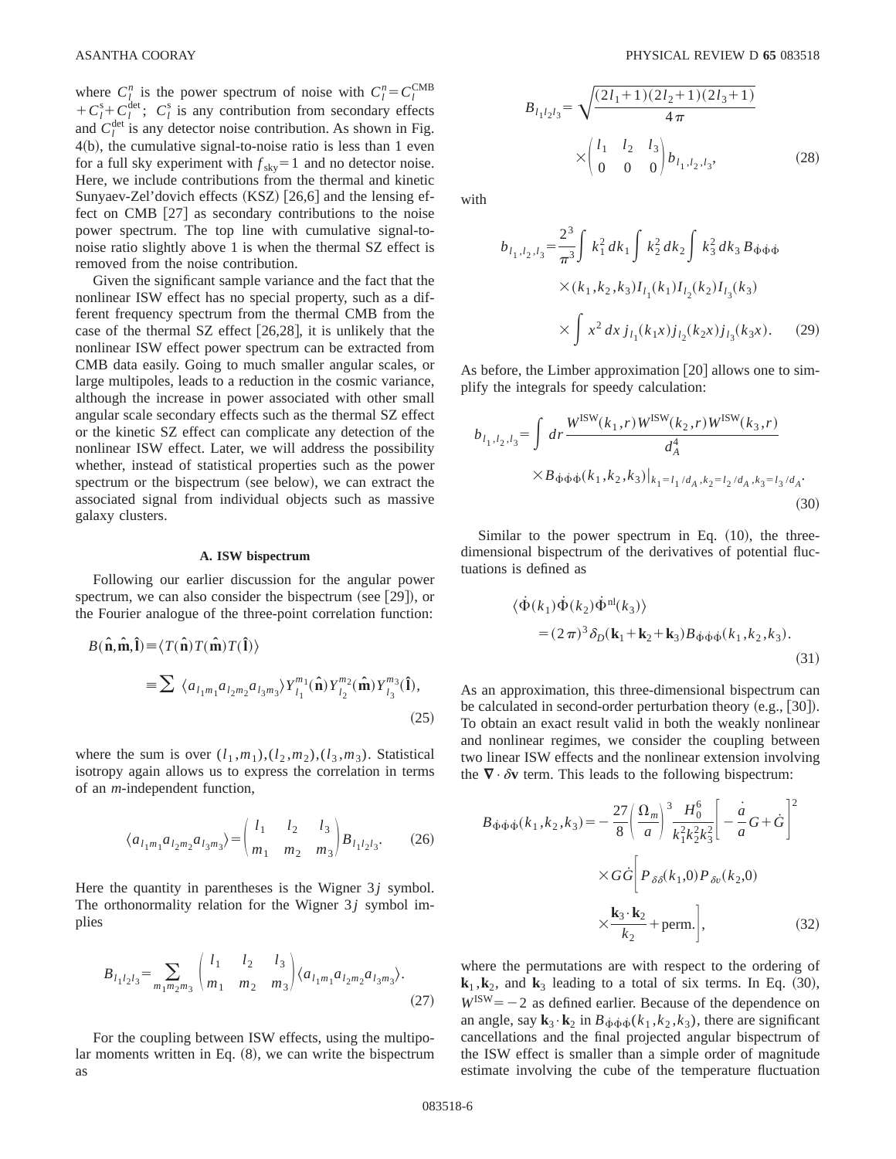where  $C_l^n$  is the power spectrum of noise with  $C_l^n = C_l^{\text{CMB}}$  $+C_l^s+C_l^{\text{det}}$ ;  $C_l^s$  is any contribution from secondary effects and  $C_l^{\text{det}}$  is any detector noise contribution. As shown in Fig.  $4(b)$ , the cumulative signal-to-noise ratio is less than 1 even for a full sky experiment with  $f_{\text{sky}}=1$  and no detector noise. Here, we include contributions from the thermal and kinetic Sunyaev-Zel'dovich effects  $(KSZ)$  [26,6] and the lensing effect on CMB  $[27]$  as secondary contributions to the noise power spectrum. The top line with cumulative signal-tonoise ratio slightly above 1 is when the thermal SZ effect is removed from the noise contribution.

Given the significant sample variance and the fact that the nonlinear ISW effect has no special property, such as a different frequency spectrum from the thermal CMB from the case of the thermal SZ effect  $[26,28]$ , it is unlikely that the nonlinear ISW effect power spectrum can be extracted from CMB data easily. Going to much smaller angular scales, or large multipoles, leads to a reduction in the cosmic variance, although the increase in power associated with other small angular scale secondary effects such as the thermal SZ effect or the kinetic SZ effect can complicate any detection of the nonlinear ISW effect. Later, we will address the possibility whether, instead of statistical properties such as the power spectrum or the bispectrum (see below), we can extract the associated signal from individual objects such as massive galaxy clusters.

### **A. ISW bispectrum**

Following our earlier discussion for the angular power spectrum, we can also consider the bispectrum (see  $[29]$ ), or the Fourier analogue of the three-point correlation function:

$$
B(\hat{\mathbf{n}}, \hat{\mathbf{m}}, \hat{\mathbf{l}}) \equiv \langle T(\hat{\mathbf{n}}) T(\hat{\mathbf{m}}) T(\hat{\mathbf{l}}) \rangle
$$
  
\n
$$
\equiv \sum \langle a_{l_1 m_1} a_{l_2 m_2} a_{l_3 m_3} \rangle Y_{l_1}^{m_1}(\hat{\mathbf{n}}) Y_{l_2}^{m_2}(\hat{\mathbf{m}}) Y_{l_3}^{m_3}(\hat{\mathbf{l}}),
$$
\n(25)

where the sum is over  $(l_1, m_1), (l_2, m_2), (l_3, m_3)$ . Statistical isotropy again allows us to express the correlation in terms of an *m*-independent function,

$$
\langle a_{l_1m_1} a_{l_2m_2} a_{l_3m_3} \rangle = \begin{pmatrix} l_1 & l_2 & l_3 \\ m_1 & m_2 & m_3 \end{pmatrix} B_{l_1l_2l_3}.
$$
 (26)

Here the quantity in parentheses is the Wigner 3*j* symbol. The orthonormality relation for the Wigner  $3j$  symbol implies

$$
B_{l_1l_2l_3} = \sum_{m_1m_2m_3} \binom{l_1}{m_1} \frac{l_2}{m_2} \frac{l_3}{m_3} \langle a_{l_1m_1} a_{l_2m_2} a_{l_3m_3} \rangle.
$$
\n(27)

For the coupling between ISW effects, using the multipolar moments written in Eq.  $(8)$ , we can write the bispectrum as

$$
B_{l_1l_2l_3} = \sqrt{\frac{(2l_1+1)(2l_2+1)(2l_3+1)}{4\pi}}
$$

$$
\times \begin{pmatrix} l_1 & l_2 & l_3 \ 0 & 0 & 0 \end{pmatrix} b_{l_1,l_2,l_3},
$$
(28)

with

$$
b_{l_1, l_2, l_3} = \frac{2^3}{\pi^3} \int k_1^2 dk_1 \int k_2^2 dk_2 \int k_3^2 dk_3 B_{\phi\phi\phi}
$$
  
×(k<sub>1</sub>,k<sub>2</sub>,k<sub>3</sub>)I<sub>l\_1</sub>(k<sub>1</sub>)I<sub>l\_2</sub>(k<sub>2</sub>)I<sub>l\_3</sub>(k<sub>3</sub>)  
×
$$
\int x^2 dx j_{l_1}(k_1 x) j_{l_2}(k_2 x) j_{l_3}(k_3 x).
$$
 (29)

As before, the Limber approximation  $[20]$  allows one to simplify the integrals for speedy calculation:

$$
b_{l_1, l_2, l_3} = \int dr \frac{W^{ISW}(k_1, r) W^{ISW}(k_2, r) W^{ISW}(k_3, r)}{d_A^4}
$$
  
× $B_{\Phi\Phi\Phi}(k_1, k_2, k_3)|_{k_1 = l_1 / d_A, k_2 = l_2 / d_A, k_3 = l_3 / d_A}$ . (30)

Similar to the power spectrum in Eq.  $(10)$ , the threedimensional bispectrum of the derivatives of potential fluctuations is defined as

$$
\langle \dot{\Phi}(k_1) \dot{\Phi}(k_2) \dot{\Phi}^{nl}(k_3) \rangle
$$
  
=  $(2\pi)^3 \delta_D(\mathbf{k}_1 + \mathbf{k}_2 + \mathbf{k}_3) B_{\Phi \Phi \Phi}(k_1, k_2, k_3).$  (31)

As an approximation, this three-dimensional bispectrum can be calculated in second-order perturbation theory  $(e.g., [30])$ . To obtain an exact result valid in both the weakly nonlinear and nonlinear regimes, we consider the coupling between two linear ISW effects and the nonlinear extension involving the  $\nabla \cdot \delta v$  term. This leads to the following bispectrum:

$$
B_{\Phi\Phi\Phi}(k_1, k_2, k_3) = -\frac{27}{8} \left( \frac{\Omega_m}{a} \right)^3 \frac{H_0^6}{k_1^2 k_2^2 k_3^2} \left[ -\frac{\dot{a}}{a} G + \dot{G} \right]^2
$$
  
 
$$
\times G \dot{G} \left[ P_{\delta\delta}(k_1, 0) P_{\delta v}(k_2, 0) \times \frac{\mathbf{k}_3 \cdot \mathbf{k}_2}{k_2} + \text{perm.} \right],
$$
 (32)

where the permutations are with respect to the ordering of  $\mathbf{k}_1, \mathbf{k}_2$ , and  $\mathbf{k}_3$  leading to a total of six terms. In Eq. (30),  $W^{ISW} = -2$  as defined earlier. Because of the dependence on an angle, say  $\mathbf{k}_3 \cdot \mathbf{k}_2$  in  $B_{\dot{\Phi}\dot{\Phi}\dot{\Phi}}(k_1, k_2, k_3)$ , there are significant cancellations and the final projected angular bispectrum of the ISW effect is smaller than a simple order of magnitude estimate involving the cube of the temperature fluctuation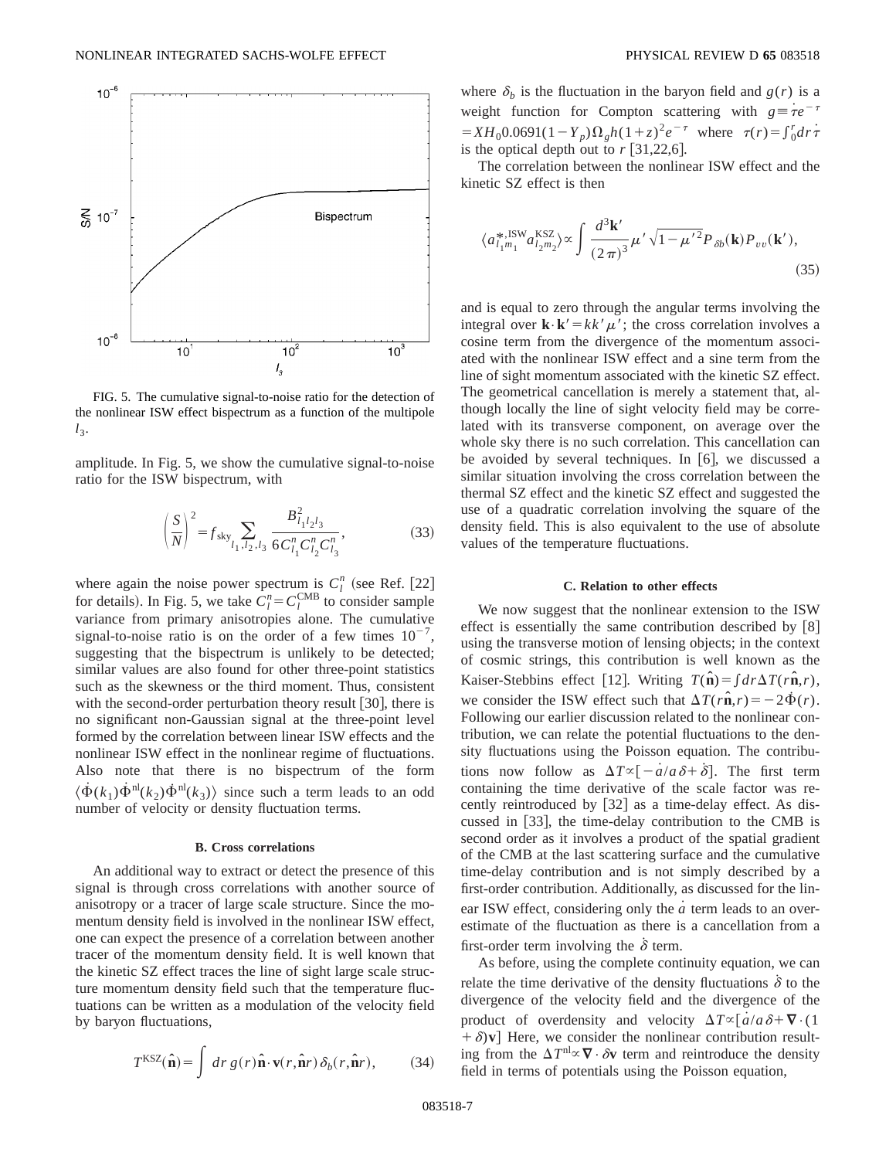

FIG. 5. The cumulative signal-to-noise ratio for the detection of the nonlinear ISW effect bispectrum as a function of the multipole  $l<sub>3</sub>$ .

amplitude. In Fig. 5, we show the cumulative signal-to-noise ratio for the ISW bispectrum, with

$$
\left(\frac{S}{N}\right)^2 = f_{\text{sky}} \sum_{l_1, l_2, l_3} \frac{B_{l_1 l_2 l_3}^2}{6 C_{l_1}^n C_{l_2}^n C_{l_3}^n},
$$
\n(33)

where again the noise power spectrum is  $C_l^n$  (see Ref. [22] for details). In Fig. 5, we take  $C_l^n = C_l^{\text{CMB}}$  to consider sample variance from primary anisotropies alone. The cumulative signal-to-noise ratio is on the order of a few times  $10^{-7}$ , suggesting that the bispectrum is unlikely to be detected; similar values are also found for other three-point statistics such as the skewness or the third moment. Thus, consistent with the second-order perturbation theory result  $[30]$ , there is no significant non-Gaussian signal at the three-point level formed by the correlation between linear ISW effects and the nonlinear ISW effect in the nonlinear regime of fluctuations. Also note that there is no bispectrum of the form  $\langle \dot{\Phi}(k_1)\dot{\Phi}^{nl}(k_2)\dot{\Phi}^{nl}(k_3)\rangle$  since such a term leads to an odd number of velocity or density fluctuation terms.

## **B. Cross correlations**

An additional way to extract or detect the presence of this signal is through cross correlations with another source of anisotropy or a tracer of large scale structure. Since the momentum density field is involved in the nonlinear ISW effect, one can expect the presence of a correlation between another tracer of the momentum density field. It is well known that the kinetic SZ effect traces the line of sight large scale structure momentum density field such that the temperature fluctuations can be written as a modulation of the velocity field by baryon fluctuations,

$$
T^{\text{KSZ}}(\hat{\mathbf{n}}) = \int dr g(r) \hat{\mathbf{n}} \cdot \mathbf{v}(r, \hat{\mathbf{n}}r) \delta_b(r, \hat{\mathbf{n}}r), \quad (34)
$$

where  $\delta_b$  is the fluctuation in the baryon field and  $g(r)$  is a weight function for Compton scattering with  $g \equiv \tau e^{-\tau}$  $= XH_0 0.0691(1-Y_p)\Omega_g h (1+z)^2 e^{-\tau}$  where  $\tau(r) = \int_0^r dr \tau^2$ is the optical depth out to  $r$  [31,22,6].

The correlation between the nonlinear ISW effect and the kinetic SZ effect is then

$$
\langle a_{l_1m_1}^{*,\text{ISW}} a_{l_2m_2}^{\text{KSZ}} \rangle \propto \int \frac{d^3 \mathbf{k}'}{(2\pi)^3} \mu' \sqrt{1 - {\mu'}^2} P_{\delta b}(\mathbf{k}) P_{vv}(\mathbf{k}'),\tag{35}
$$

and is equal to zero through the angular terms involving the integral over  $\mathbf{k} \cdot \mathbf{k}' = kk' \mu'$ ; the cross correlation involves a cosine term from the divergence of the momentum associated with the nonlinear ISW effect and a sine term from the line of sight momentum associated with the kinetic SZ effect. The geometrical cancellation is merely a statement that, although locally the line of sight velocity field may be correlated with its transverse component, on average over the whole sky there is no such correlation. This cancellation can be avoided by several techniques. In  $[6]$ , we discussed a similar situation involving the cross correlation between the thermal SZ effect and the kinetic SZ effect and suggested the use of a quadratic correlation involving the square of the density field. This is also equivalent to the use of absolute values of the temperature fluctuations.

#### **C. Relation to other effects**

We now suggest that the nonlinear extension to the ISW effect is essentially the same contribution described by  $[8]$ using the transverse motion of lensing objects; in the context of cosmic strings, this contribution is well known as the Kaiser-Stebbins effect [12]. Writing  $T(\hat{\bf{n}}) = \int dr \Delta T(r\hat{\bf{n}},r)$ , we consider the ISW effect such that  $\Delta T(r\hat{\mathbf{n}},r) = -2\Phi(r)$ . Following our earlier discussion related to the nonlinear contribution, we can relate the potential fluctuations to the density fluctuations using the Poisson equation. The contributions now follow as  $\Delta T \propto [-a/a\delta + \delta]$ . The first term containing the time derivative of the scale factor was recently reintroduced by  $[32]$  as a time-delay effect. As discussed in  $[33]$ , the time-delay contribution to the CMB is second order as it involves a product of the spatial gradient of the CMB at the last scattering surface and the cumulative time-delay contribution and is not simply described by a first-order contribution. Additionally, as discussed for the linear ISW effect, considering only the *a˙* term leads to an overestimate of the fluctuation as there is a cancellation from a first-order term involving the  $\delta$  term.

As before, using the complete continuity equation, we can relate the time derivative of the density fluctuations  $\delta$  to the divergence of the velocity field and the divergence of the product of overdensity and velocity  $\Delta T \propto [a/a \delta + \nabla \cdot (1$  $(\hat{\theta})\mathbf{v}$  Here, we consider the nonlinear contribution resulting from the  $\Delta T^{nl} \propto \nabla \cdot \delta \mathbf{v}$  term and reintroduce the density field in terms of potentials using the Poisson equation,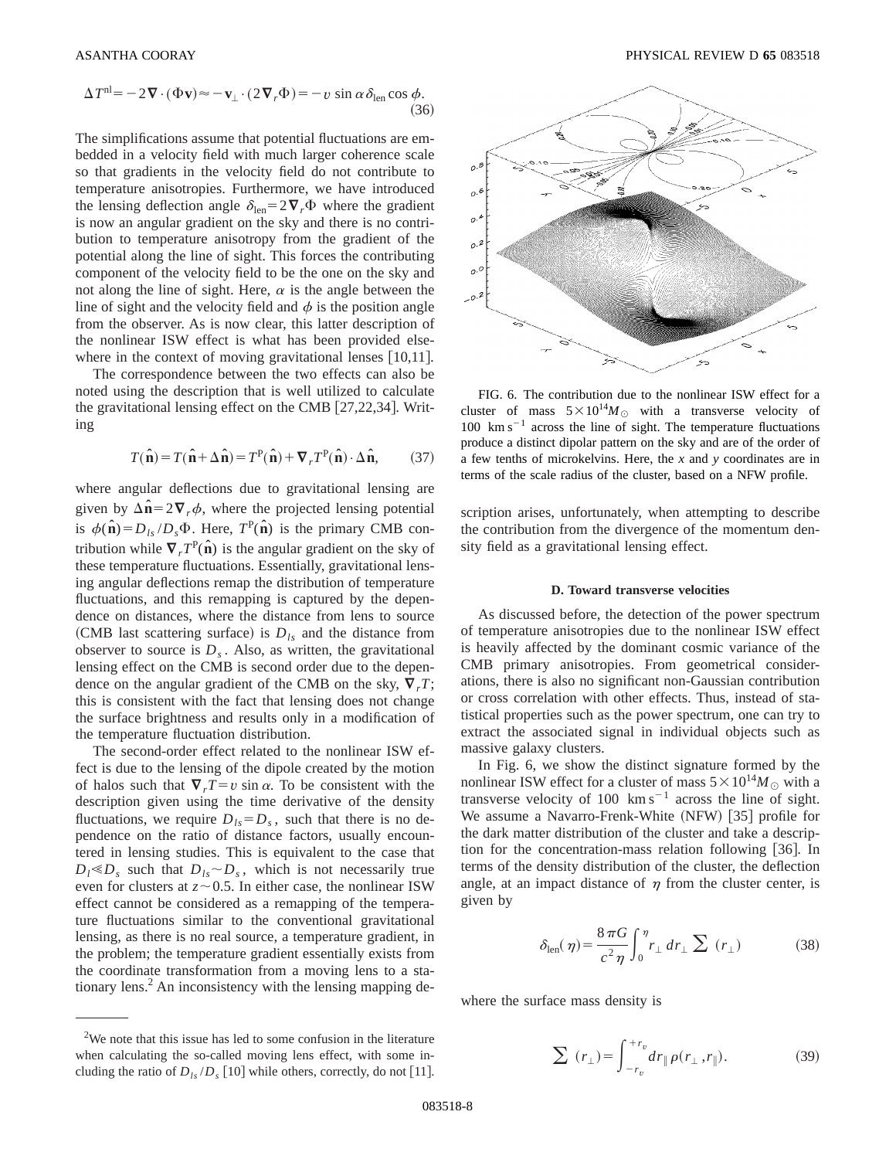$$
\Delta T^{\text{nl}} = -2\mathbf{\nabla} \cdot (\Phi \mathbf{v}) \approx -\mathbf{v}_{\perp} \cdot (2\mathbf{\nabla}_{r} \Phi) = -v \sin \alpha \delta_{\text{len}} \cos \phi. \tag{36}
$$

The simplifications assume that potential fluctuations are embedded in a velocity field with much larger coherence scale so that gradients in the velocity field do not contribute to temperature anisotropies. Furthermore, we have introduced the lensing deflection angle  $\delta_{\text{len}}=2\nabla_r\Phi$  where the gradient is now an angular gradient on the sky and there is no contribution to temperature anisotropy from the gradient of the potential along the line of sight. This forces the contributing component of the velocity field to be the one on the sky and not along the line of sight. Here,  $\alpha$  is the angle between the line of sight and the velocity field and  $\phi$  is the position angle from the observer. As is now clear, this latter description of the nonlinear ISW effect is what has been provided elsewhere in the context of moving gravitational lenses  $[10,11]$ .

The correspondence between the two effects can also be noted using the description that is well utilized to calculate the gravitational lensing effect on the CMB  $[27,22,34]$ . Writing

$$
T(\hat{\mathbf{n}}) = T(\hat{\mathbf{n}} + \Delta \hat{\mathbf{n}}) = T^{P}(\hat{\mathbf{n}}) + \nabla_r T^{P}(\hat{\mathbf{n}}) \cdot \Delta \hat{\mathbf{n}},
$$
 (37)

where angular deflections due to gravitational lensing are given by  $\Delta \hat{\mathbf{n}} = 2 \nabla_r \phi$ , where the projected lensing potential is  $\phi(\hat{\mathbf{n}}) = D_{ls}/D_s \Phi$ . Here,  $T^P(\hat{\mathbf{n}})$  is the primary CMB contribution while  $\nabla_r T^P(\hat{\mathbf{n}})$  is the angular gradient on the sky of these temperature fluctuations. Essentially, gravitational lensing angular deflections remap the distribution of temperature fluctuations, and this remapping is captured by the dependence on distances, where the distance from lens to source (CMB last scattering surface) is  $D_{ls}$  and the distance from observer to source is  $D_s$ . Also, as written, the gravitational lensing effect on the CMB is second order due to the dependence on the angular gradient of the CMB on the sky,  $\nabla_r T$ ; this is consistent with the fact that lensing does not change the surface brightness and results only in a modification of the temperature fluctuation distribution.

The second-order effect related to the nonlinear ISW effect is due to the lensing of the dipole created by the motion of halos such that  $\nabla_r T = v \sin \alpha$ . To be consistent with the description given using the time derivative of the density fluctuations, we require  $D_{ls} = D_s$ , such that there is no dependence on the ratio of distance factors, usually encountered in lensing studies. This is equivalent to the case that  $D_l \ll D_s$  such that  $D_{ls} \sim D_s$ , which is not necessarily true even for clusters at  $z \sim 0.5$ . In either case, the nonlinear ISW effect cannot be considered as a remapping of the temperature fluctuations similar to the conventional gravitational lensing, as there is no real source, a temperature gradient, in the problem; the temperature gradient essentially exists from the coordinate transformation from a moving lens to a stationary lens.<sup>2</sup> An inconsistency with the lensing mapping de-



FIG. 6. The contribution due to the nonlinear ISW effect for a cluster of mass  $5 \times 10^{14} M_{\odot}$  with a transverse velocity of  $100 \, \text{km s}^{-1}$  across the line of sight. The temperature fluctuations produce a distinct dipolar pattern on the sky and are of the order of a few tenths of microkelvins. Here, the *x* and *y* coordinates are in terms of the scale radius of the cluster, based on a NFW profile.

scription arises, unfortunately, when attempting to describe the contribution from the divergence of the momentum density field as a gravitational lensing effect.

#### **D. Toward transverse velocities**

As discussed before, the detection of the power spectrum of temperature anisotropies due to the nonlinear ISW effect is heavily affected by the dominant cosmic variance of the CMB primary anisotropies. From geometrical considerations, there is also no significant non-Gaussian contribution or cross correlation with other effects. Thus, instead of statistical properties such as the power spectrum, one can try to extract the associated signal in individual objects such as massive galaxy clusters.

In Fig. 6, we show the distinct signature formed by the nonlinear ISW effect for a cluster of mass  $5 \times 10^{14} M_{\odot}$  with a transverse velocity of 100  $km s^{-1}$  across the line of sight. We assume a Navarro-Frenk-White  $(NFW)$  [35] profile for the dark matter distribution of the cluster and take a description for the concentration-mass relation following [36]. In terms of the density distribution of the cluster, the deflection angle, at an impact distance of  $\eta$  from the cluster center, is given by

$$
\delta_{\text{len}}(\eta) = \frac{8\,\pi G}{c^2 \eta} \int_0^{\eta} r_\perp \, dr_\perp \sum \ (r_\perp) \tag{38}
$$

where the surface mass density is

$$
\sum (r_{\perp}) = \int_{-r_v}^{+r_v} dr_{\parallel} \rho(r_{\perp}, r_{\parallel}). \tag{39}
$$

<sup>&</sup>lt;sup>2</sup>We note that this issue has led to some confusion in the literature when calculating the so-called moving lens effect, with some including the ratio of  $D_{ls}/D_s$  [10] while others, correctly, do not [11].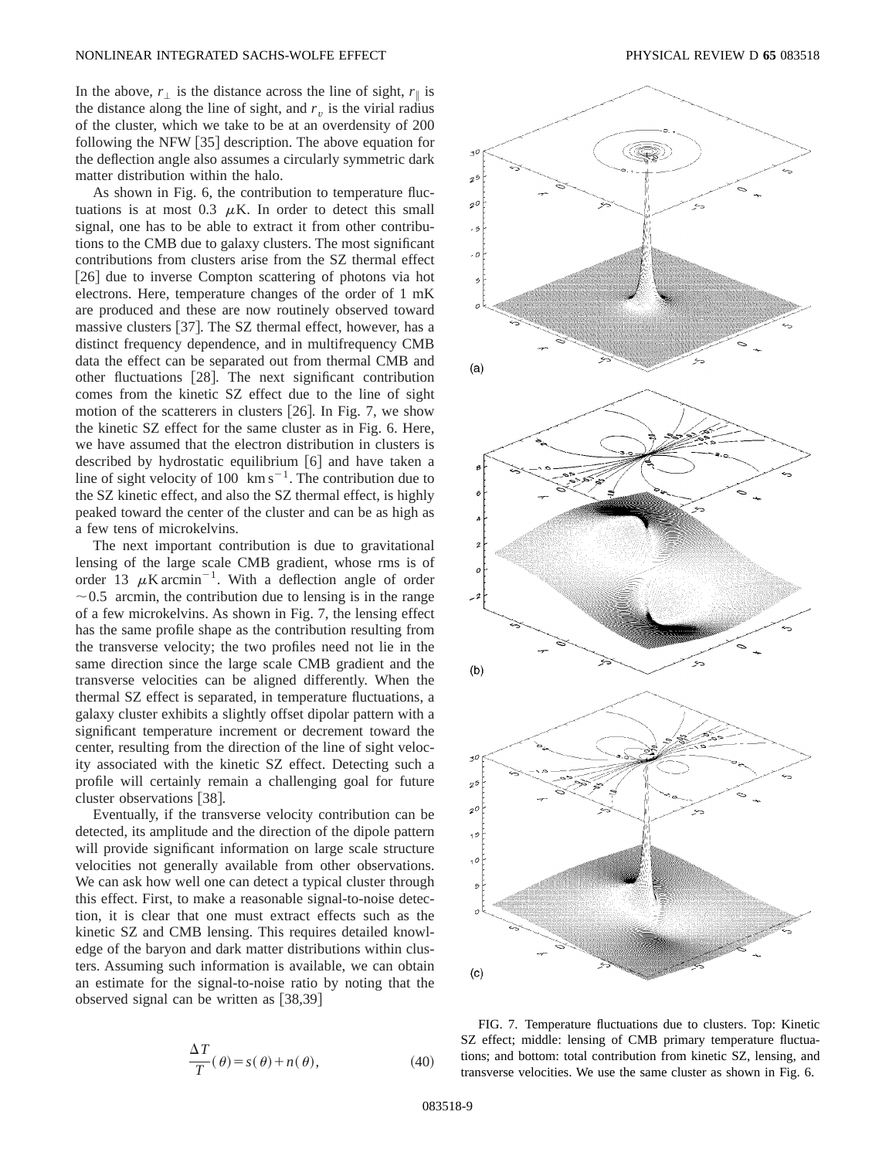In the above,  $r_{\perp}$  is the distance across the line of sight,  $r_{\parallel}$  is the distance along the line of sight, and  $r<sub>v</sub>$  is the virial radius of the cluster, which we take to be at an overdensity of 200 following the NFW  $\left[35\right]$  description. The above equation for the deflection angle also assumes a circularly symmetric dark matter distribution within the halo.

As shown in Fig. 6, the contribution to temperature fluctuations is at most 0.3  $\mu$ K. In order to detect this small signal, one has to be able to extract it from other contributions to the CMB due to galaxy clusters. The most significant contributions from clusters arise from the SZ thermal effect [26] due to inverse Compton scattering of photons via hot electrons. Here, temperature changes of the order of 1 mK are produced and these are now routinely observed toward massive clusters  $[37]$ . The SZ thermal effect, however, has a distinct frequency dependence, and in multifrequency CMB data the effect can be separated out from thermal CMB and other fluctuations [28]. The next significant contribution comes from the kinetic SZ effect due to the line of sight motion of the scatterers in clusters  $[26]$ . In Fig. 7, we show the kinetic SZ effect for the same cluster as in Fig. 6. Here, we have assumed that the electron distribution in clusters is described by hydrostatic equilibrium  $[6]$  and have taken a line of sight velocity of  $100 \text{ km s}^{-1}$ . The contribution due to the SZ kinetic effect, and also the SZ thermal effect, is highly peaked toward the center of the cluster and can be as high as a few tens of microkelvins.

The next important contribution is due to gravitational lensing of the large scale CMB gradient, whose rms is of order 13  $\mu$ K arcmin<sup>-1</sup>. With a deflection angle of order  $\sim$  0.5 arcmin, the contribution due to lensing is in the range of a few microkelvins. As shown in Fig. 7, the lensing effect has the same profile shape as the contribution resulting from the transverse velocity; the two profiles need not lie in the same direction since the large scale CMB gradient and the transverse velocities can be aligned differently. When the thermal SZ effect is separated, in temperature fluctuations, a galaxy cluster exhibits a slightly offset dipolar pattern with a significant temperature increment or decrement toward the center, resulting from the direction of the line of sight velocity associated with the kinetic SZ effect. Detecting such a profile will certainly remain a challenging goal for future cluster observations [38].

Eventually, if the transverse velocity contribution can be detected, its amplitude and the direction of the dipole pattern will provide significant information on large scale structure velocities not generally available from other observations. We can ask how well one can detect a typical cluster through this effect. First, to make a reasonable signal-to-noise detection, it is clear that one must extract effects such as the kinetic SZ and CMB lensing. This requires detailed knowledge of the baryon and dark matter distributions within clusters. Assuming such information is available, we can obtain an estimate for the signal-to-noise ratio by noting that the observed signal can be written as  $[38,39]$ 



FIG. 7. Temperature fluctuations due to clusters. Top: Kinetic SZ effect; middle: lensing of CMB primary temperature fluctuations; and bottom: total contribution from kinetic SZ, lensing, and transverse velocities. We use the same cluster as shown in Fig. 6.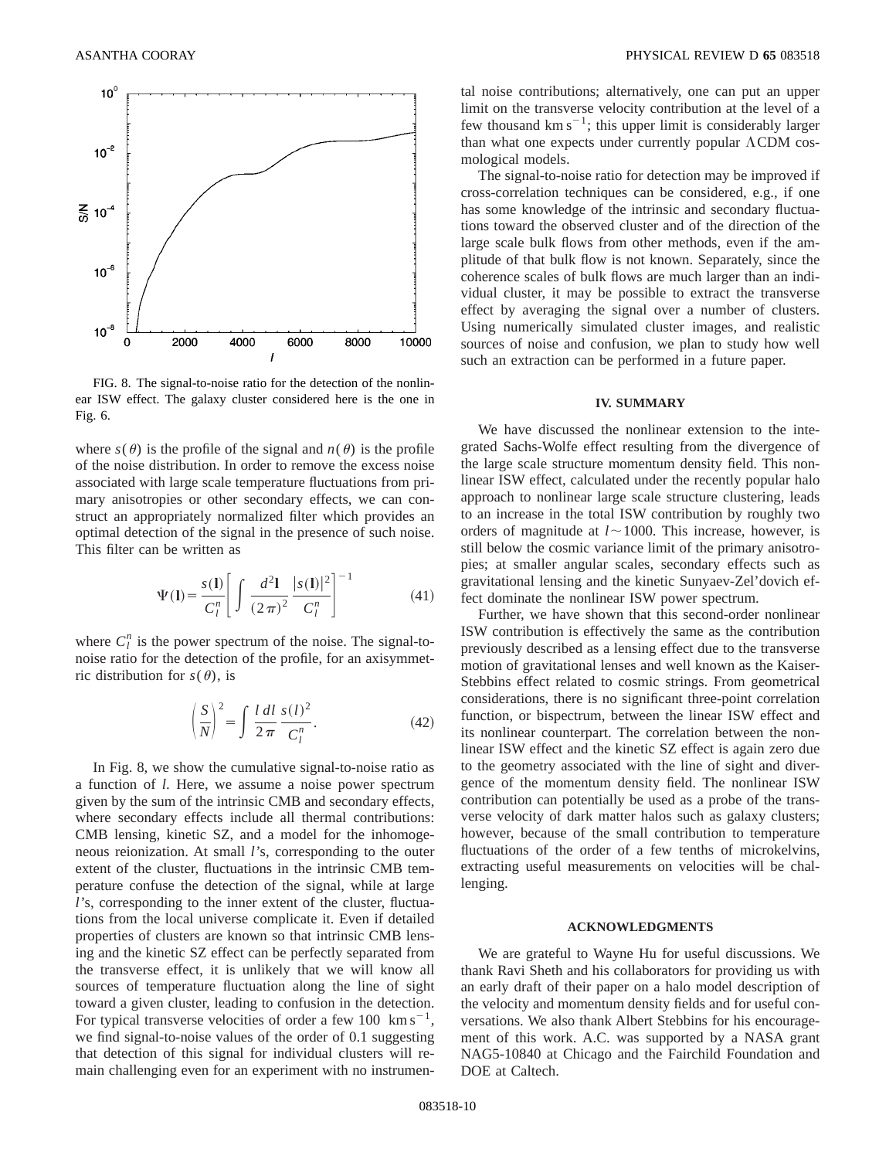

FIG. 8. The signal-to-noise ratio for the detection of the nonlinear ISW effect. The galaxy cluster considered here is the one in Fig. 6.

where  $s(\theta)$  is the profile of the signal and  $n(\theta)$  is the profile of the noise distribution. In order to remove the excess noise associated with large scale temperature fluctuations from primary anisotropies or other secondary effects, we can construct an appropriately normalized filter which provides an optimal detection of the signal in the presence of such noise. This filter can be written as

$$
\Psi(\mathbf{I}) = \frac{s(\mathbf{I})}{C_l^n} \left[ \int \frac{d^2 \mathbf{I}}{(2\pi)^2} \frac{|s(\mathbf{I})|^2}{C_l^n} \right]^{-1} \tag{41}
$$

where  $C_l^n$  is the power spectrum of the noise. The signal-tonoise ratio for the detection of the profile, for an axisymmetric distribution for  $s(\theta)$ , is

$$
\left(\frac{S}{N}\right)^2 = \int \frac{l \, dl}{2 \, \pi} \, \frac{s(l)^2}{C_l^{\, n}}.\tag{42}
$$

In Fig. 8, we show the cumulative signal-to-noise ratio as a function of *l*. Here, we assume a noise power spectrum given by the sum of the intrinsic CMB and secondary effects, where secondary effects include all thermal contributions: CMB lensing, kinetic SZ, and a model for the inhomogeneous reionization. At small *l*'s, corresponding to the outer extent of the cluster, fluctuations in the intrinsic CMB temperature confuse the detection of the signal, while at large *l*'s, corresponding to the inner extent of the cluster, fluctuations from the local universe complicate it. Even if detailed properties of clusters are known so that intrinsic CMB lensing and the kinetic SZ effect can be perfectly separated from the transverse effect, it is unlikely that we will know all sources of temperature fluctuation along the line of sight toward a given cluster, leading to confusion in the detection. For typical transverse velocities of order a few 100  $\mathrm{km \, s}^{-1}$ , we find signal-to-noise values of the order of 0.1 suggesting that detection of this signal for individual clusters will remain challenging even for an experiment with no instrumental noise contributions; alternatively, one can put an upper limit on the transverse velocity contribution at the level of a few thousand  $km s^{-1}$ ; this upper limit is considerably larger than what one expects under currently popular  $\Lambda$ CDM cosmological models.

The signal-to-noise ratio for detection may be improved if cross-correlation techniques can be considered, e.g., if one has some knowledge of the intrinsic and secondary fluctuations toward the observed cluster and of the direction of the large scale bulk flows from other methods, even if the amplitude of that bulk flow is not known. Separately, since the coherence scales of bulk flows are much larger than an individual cluster, it may be possible to extract the transverse effect by averaging the signal over a number of clusters. Using numerically simulated cluster images, and realistic sources of noise and confusion, we plan to study how well such an extraction can be performed in a future paper.

## **IV. SUMMARY**

We have discussed the nonlinear extension to the integrated Sachs-Wolfe effect resulting from the divergence of the large scale structure momentum density field. This nonlinear ISW effect, calculated under the recently popular halo approach to nonlinear large scale structure clustering, leads to an increase in the total ISW contribution by roughly two orders of magnitude at  $l \sim 1000$ . This increase, however, is still below the cosmic variance limit of the primary anisotropies; at smaller angular scales, secondary effects such as gravitational lensing and the kinetic Sunyaev-Zel'dovich effect dominate the nonlinear ISW power spectrum.

Further, we have shown that this second-order nonlinear ISW contribution is effectively the same as the contribution previously described as a lensing effect due to the transverse motion of gravitational lenses and well known as the Kaiser-Stebbins effect related to cosmic strings. From geometrical considerations, there is no significant three-point correlation function, or bispectrum, between the linear ISW effect and its nonlinear counterpart. The correlation between the nonlinear ISW effect and the kinetic SZ effect is again zero due to the geometry associated with the line of sight and divergence of the momentum density field. The nonlinear ISW contribution can potentially be used as a probe of the transverse velocity of dark matter halos such as galaxy clusters; however, because of the small contribution to temperature fluctuations of the order of a few tenths of microkelvins, extracting useful measurements on velocities will be challenging.

## **ACKNOWLEDGMENTS**

We are grateful to Wayne Hu for useful discussions. We thank Ravi Sheth and his collaborators for providing us with an early draft of their paper on a halo model description of the velocity and momentum density fields and for useful conversations. We also thank Albert Stebbins for his encouragement of this work. A.C. was supported by a NASA grant NAG5-10840 at Chicago and the Fairchild Foundation and DOE at Caltech.